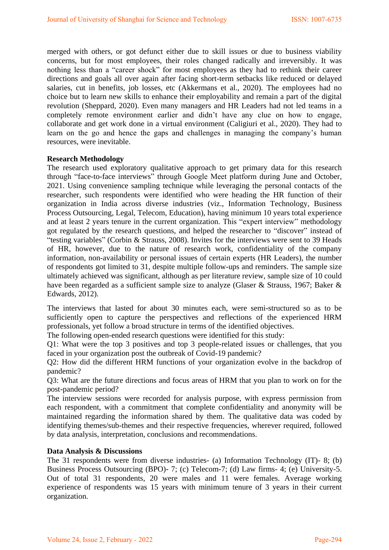merged with others, or got defunct either due to skill issues or due to business viability concerns, but for most employees, their roles changed radically and irreversibly. It was nothing less than a "career shock" for most employees as they had to rethink their career directions and goals all over again after facing short-term setbacks like reduced or delayed salaries, cut in benefits, job losses, etc (Akkermans et al., 2020). The employees had no choice but to learn new skills to enhance their employability and remain a part of the digital revolution (Sheppard, 2020). Even many managers and HR Leaders had not led teams in a completely remote environment earlier and didn"t have any clue on how to engage, collaborate and get work done in a virtual environment (Caligiuri et al., 2020). They had to learn on the go and hence the gaps and challenges in managing the company"s human resources, were inevitable.

## **Research Methodology**

The research used exploratory qualitative approach to get primary data for this research through "face-to-face interviews" through Google Meet platform during June and October, 2021. Using convenience sampling technique while leveraging the personal contacts of the researcher, such respondents were identified who were heading the HR function of their organization in India across diverse industries (viz., Information Technology, Business Process Outsourcing, Legal, Telecom, Education), having minimum 10 years total experience and at least 2 years tenure in the current organization. This "expert interview" methodology got regulated by the research questions, and helped the researcher to "discover" instead of "testing variables" (Corbin & Strauss, 2008). Invites for the interviews were sent to 39 Heads of HR, however, due to the nature of research work, confidentiality of the company information, non-availability or personal issues of certain experts (HR Leaders), the number of respondents got limited to 31, despite multiple follow-ups and reminders. The sample size ultimately achieved was significant, although as per literature review, sample size of 10 could have been regarded as a sufficient sample size to analyze (Glaser & Strauss, 1967; Baker & Edwards, 2012).

The interviews that lasted for about 30 minutes each, were semi-structured so as to be sufficiently open to capture the perspectives and reflections of the experienced HRM professionals, yet follow a broad structure in terms of the identified objectives.

The following open-ended research questions were identified for this study:

Q1: What were the top 3 positives and top 3 people-related issues or challenges, that you faced in your organization post the outbreak of Covid-19 pandemic?

Q2: How did the different HRM functions of your organization evolve in the backdrop of pandemic?

Q3: What are the future directions and focus areas of HRM that you plan to work on for the post-pandemic period?

The interview sessions were recorded for analysis purpose, with express permission from each respondent, with a commitment that complete confidentiality and anonymity will be maintained regarding the information shared by them. The qualitative data was coded by identifying themes/sub-themes and their respective frequencies, wherever required, followed by data analysis, interpretation, conclusions and recommendations.

## **Data Analysis & Discussions**

The 31 respondents were from diverse industries- (a) Information Technology (IT)- 8; (b) Business Process Outsourcing (BPO)- 7; (c) Telecom-7; (d) Law firms- 4; (e) University-5. Out of total 31 respondents, 20 were males and 11 were females. Average working experience of respondents was 15 years with minimum tenure of 3 years in their current organization.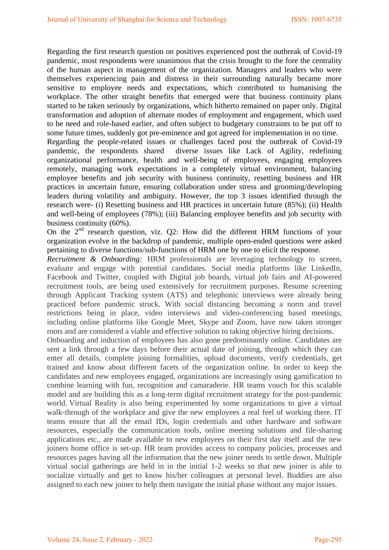Regarding the first research question on positives experienced post the outbreak of Covid-19 pandemic, most respondents were unanimous that the crisis brought to the fore the centrality of the human aspect in management of the organization. Managers and leaders who were themselves experiencing pain and distress in their surrounding naturally became more sensitive to employee needs and expectations, which contributed to humanising the workplace. The other straight benefits that emerged were that business continuity plans started to be taken seriously by organizations, which hitherto remained on paper only. Digital transformation and adoption of alternate modes of employment and engagement, which used to be need and role-based earlier, and often subject to budgetary constraints to be put off to some future times, suddenly got pre-eminence and got agreed for implementation in no time.

Regarding the people-related issues or challenges faced post the outbreak of Covid-19 pandemic, the respondents shared diverse issues like Lack of Agility, redefining organizational performance, health and well-being of employees, engaging employees remotely, managing work expectations in a completely virtual environment, balancing employee benefits and job security with business continuity, resetting business and HR practices in uncertain future, ensuring collaboration under stress and grooming/developing leaders during volatility and ambiguity. However, the top 3 issues identified through the research were- (i) Resetting business and HR practices in uncertain future (85%); (ii) Health and well-being of employees (78%); (iii) Balancing employee benefits and job security with business continuity (60%).

On the  $2<sup>nd</sup>$  research question, viz. Q2: How did the different HRM functions of your organization evolve in the backdrop of pandemic, multiple open-ended questions were asked pertaining to diverse functions/sub-functions of HRM one by one to elicit the response.

*Recruitment & Onboarding:* HRM professionals are leveraging technology to screen, evaluate and engage with potential candidates. Social media platforms like LinkedIn, Facebook and Twitter, coupled with Digital job boards, virtual job fairs and AI-powered recruitment tools, are being used extensively for recruitment purposes. Resume screening through Applicant Tracking system (ATS) and telephonic interviews were already being practiced before pandemic struck. With social distancing becoming a norm and travel restrictions being in place, video interviews and video-conferencing based meetings, including online platforms like Google Meet, Skype and Zoom, have now taken stronger roots and are considered a viable and effective solution to taking objective hiring decisions.

Onboarding and induction of employees has also gone predominantly online. Candidates are sent a link through a few days before their actual date of joining, through which they can enter all details, complete joining formalities, upload documents, verify credentials, get trained and know about different facets of the organization online. In order to keep the candidates and new employees engaged, organizations are increasingly using gamification to combine learning with fun, recognition and camaraderie. HR teams vouch for this scalable model and are building this as a long-term digital recruitment strategy for the post-pandemic world. Virtual Reality is also being experimented by some organizations to give a virtual walk-through of the workplace and give the new employees a real feel of working there. IT teams ensure that all the email IDs, login credentials and other hardware and software resources, especially the communication tools, online meeting solutions and file-sharing applications etc., are made available to new employees on their first day itself and the new joiners home office is set-up. HR team provides access to company policies, processes and resources pages having all the information that the new joiner needs to settle down. Multiple virtual social gatherings are held in in the initial 1-2 weeks so that new joiner is able to socialize virtually and get to know his/her colleagues at personal level. Buddies are also assigned to each new joiner to help them navigate the initial phase without any major issues.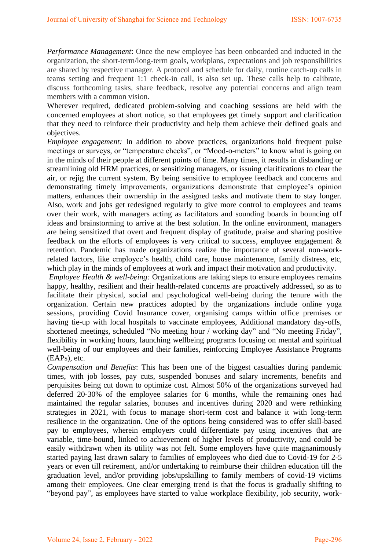*Performance Management*: Once the new employee has been onboarded and inducted in the organization, the short-term/long-term goals, workplans, expectations and job responsibilities are shared by respective manager. A protocol and schedule for daily, routine catch-up calls in teams setting and frequent 1:1 check-in call, is also set up. These calls help to calibrate, discuss forthcoming tasks, share feedback, resolve any potential concerns and align team members with a common vision.

Wherever required, dedicated problem-solving and coaching sessions are held with the concerned employees at short notice, so that employees get timely support and clarification that they need to reinforce their productivity and help them achieve their defined goals and objectives.

*Employee engagement:* In addition to above practices, organizations hold frequent pulse meetings or surveys, or "temperature checks", or "Mood-o-meters" to know what is going on in the minds of their people at different points of time. Many times, it results in disbanding or streamlining old HRM practices, or sensitizing managers, or issuing clarifications to clear the air, or rejig the current system. By being sensitive to employee feedback and concerns and demonstrating timely improvements, organizations demonstrate that employee's opinion matters, enhances their ownership in the assigned tasks and motivate them to stay longer. Also, work and jobs get redesigned regularly to give more control to employees and teams over their work, with managers acting as facilitators and sounding boards in bouncing off ideas and brainstorming to arrive at the best solution. In the online environment, managers are being sensitized that overt and frequent display of gratitude, praise and sharing positive feedback on the efforts of employees is very critical to success, employee engagement & retention. Pandemic has made organizations realize the importance of several non-workrelated factors, like employee"s health, child care, house maintenance, family distress, etc, which play in the minds of employees at work and impact their motivation and productivity.

*Employee Health & well-being:* Organizations are taking steps to ensure employees remains happy, healthy, resilient and their health-related concerns are proactively addressed, so as to facilitate their physical, social and psychological well-being during the tenure with the organization. Certain new practices adopted by the organizations include online yoga sessions, providing Covid Insurance cover, organising camps within office premises or having tie-up with local hospitals to vaccinate employees, Additional mandatory day-offs, shortened meetings, scheduled "No meeting hour / working day" and "No meeting Friday", flexibility in working hours, launching wellbeing programs focusing on mental and spiritual well-being of our employees and their families, reinforcing Employee Assistance Programs (EAPs), etc.

*Compensation and Benefits*: This has been one of the biggest casualties during pandemic times, with job losses, pay cuts, suspended bonuses and salary increments, benefits and perquisites being cut down to optimize cost. Almost 50% of the organizations surveyed had deferred 20-30% of the employee salaries for 6 months, while the remaining ones had maintained the regular salaries, bonuses and incentives during 2020 and were rethinking strategies in 2021, with focus to manage short-term cost and balance it with long-term resilience in the organization. One of the options being considered was to offer skill-based pay to employees, wherein employers could differentiate pay using incentives that are variable, time-bound, linked to achievement of higher levels of productivity, and could be easily withdrawn when its utility was not felt. Some employers have quite magnanimously started paying last drawn salary to families of employees who died due to Covid-19 for 2-5 years or even till retirement, and/or undertaking to reimburse their children education till the graduation level, and/or providing jobs/upskilling to family members of covid-19 victims among their employees. One clear emerging trend is that the focus is gradually shifting to "beyond pay", as employees have started to value workplace flexibility, job security, work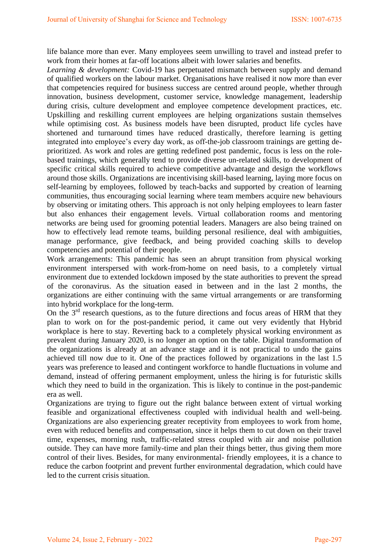life balance more than ever. Many employees seem unwilling to travel and instead prefer to work from their homes at far-off locations albeit with lower salaries and benefits.

*Learning & development:* Covid-19 has perpetuated mismatch between supply and demand of qualified workers on the labour market. Organisations have realised it now more than ever that competencies required for business success are centred around people, whether through innovation, business development, customer service, knowledge management, leadership during crisis, culture development and employee competence development practices, etc. Upskilling and reskilling current employees are helping organizations sustain themselves while optimising cost. As business models have been disrupted, product life cycles have shortened and turnaround times have reduced drastically, therefore learning is getting integrated into employee's every day work, as off-the-job classroom trainings are getting deprioritized. As work and roles are getting redefined post pandemic, focus is less on the rolebased trainings, which generally tend to provide diverse un-related skills, to development of specific critical skills required to achieve competitive advantage and design the workflows around those skills. Organizations are incentivising skill-based learning, laying more focus on self-learning by employees, followed by teach-backs and supported by creation of learning communities, thus encouraging social learning where team members acquire new behaviours by observing or imitating others. This approach is not only helping employees to learn faster but also enhances their engagement levels. Virtual collaboration rooms and mentoring networks are being used for grooming potential leaders. Managers are also being trained on how to effectively lead remote teams, building personal resilience, deal with ambiguities, manage performance, give feedback, and being provided coaching skills to develop competencies and potential of their people.

Work arrangements: This pandemic has seen an abrupt transition from physical working environment interspersed with work-from-home on need basis, to a completely virtual environment due to extended lockdown imposed by the state authorities to prevent the spread of the coronavirus. As the situation eased in between and in the last 2 months, the organizations are either continuing with the same virtual arrangements or are transforming into hybrid workplace for the long-term.

On the  $3<sup>rd</sup>$  research questions, as to the future directions and focus areas of HRM that they plan to work on for the post-pandemic period, it came out very evidently that Hybrid workplace is here to stay. Reverting back to a completely physical working environment as prevalent during January 2020, is no longer an option on the table. Digital transformation of the organizations is already at an advance stage and it is not practical to undo the gains achieved till now due to it. One of the practices followed by organizations in the last 1.5 years was preference to leased and contingent workforce to handle fluctuations in volume and demand, instead of offering permanent employment, unless the hiring is for futuristic skills which they need to build in the organization. This is likely to continue in the post-pandemic era as well.

Organizations are trying to figure out the right balance between extent of virtual working feasible and organizational effectiveness coupled with individual health and well-being. Organizations are also experiencing greater receptivity from employees to work from home, even with reduced benefits and compensation, since it helps them to cut down on their travel time, expenses, morning rush, traffic-related stress coupled with air and noise pollution outside. They can have more family-time and plan their things better, thus giving them more control of their lives. Besides, for many environmental- friendly employees, it is a chance to reduce the carbon footprint and prevent further environmental degradation, which could have led to the current crisis situation.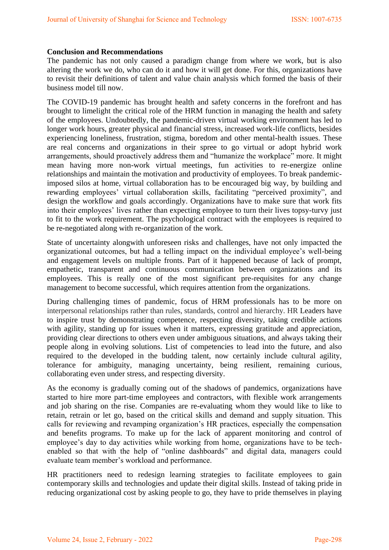## **Conclusion and Recommendations**

The pandemic has not only caused a paradigm change from where we work, but is also altering the work we do, who can do it and how it will get done. For this, organizations have to revisit their definitions of talent and value chain analysis which formed the basis of their business model till now.

The COVID-19 pandemic has brought health and safety concerns in the forefront and has brought to limelight the critical role of the HRM function in managing the health and safety of the employees. Undoubtedly, the pandemic-driven virtual working environment has led to longer work hours, greater physical and financial stress, increased work-life conflicts, besides experiencing loneliness, frustration, stigma, boredom and other mental-health issues. These are real concerns and organizations in their spree to go virtual or adopt hybrid work arrangements, should proactively address them and "humanize the workplace" more. It might mean having more non-work virtual meetings, fun activities to re-energize online relationships and maintain the motivation and productivity of employees. To break pandemicimposed silos at home, virtual collaboration has to be encouraged big way, by building and rewarding employees" virtual collaboration skills, facilitating "perceived proximity", and design the workflow and goals accordingly. Organizations have to make sure that work fits into their employees' lives rather than expecting employee to turn their lives topsy-turvy just to fit to the work requirement. The psychological contract with the employees is required to be re-negotiated along with re-organization of the work.

State of uncertainty alongwith unforeseen risks and challenges, have not only impacted the organizational outcomes, but had a telling impact on the individual employee"s well-being and engagement levels on multiple fronts. Part of it happened because of lack of prompt, empathetic, transparent and continuous communication between organizations and its employees. This is really one of the most significant pre-requisites for any change management to become successful, which requires attention from the organizations.

During challenging times of pandemic, focus of HRM professionals has to be more on interpersonal relationships rather than rules, standards, control and hierarchy. HR Leaders have to inspire trust by demonstrating competence, respecting diversity, taking credible actions with agility, standing up for issues when it matters, expressing gratitude and appreciation, providing clear directions to others even under ambiguous situations, and always taking their people along in evolving solutions. List of competencies to lead into the future, and also required to the developed in the budding talent, now certainly include cultural agility, tolerance for ambiguity, managing uncertainty, being resilient, remaining curious, collaborating even under stress, and respecting diversity.

As the economy is gradually coming out of the shadows of pandemics, organizations have started to hire more part-time employees and contractors, with flexible work arrangements and job sharing on the rise. Companies are re-evaluating whom they would like to like to retain, retrain or let go, based on the critical skills and demand and supply situation. This calls for reviewing and revamping organization"s HR practices, especially the compensation and benefits programs. To make up for the lack of apparent monitoring and control of employee's day to day activities while working from home, organizations have to be techenabled so that with the help of "online dashboards" and digital data, managers could evaluate team member"s workload and performance.

HR practitioners need to redesign learning strategies to facilitate employees to gain contemporary skills and technologies and update their digital skills. Instead of taking pride in reducing organizational cost by asking people to go, they have to pride themselves in playing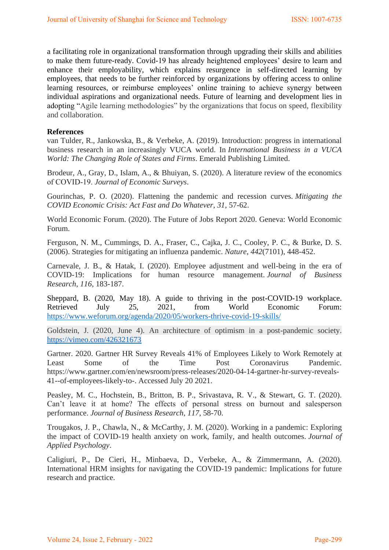a facilitating role in organizational transformation through upgrading their skills and abilities to make them future-ready. Covid-19 has already heightened employees' desire to learn and enhance their employability, which explains resurgence in self-directed learning by employees, that needs to be further reinforced by organizations by offering access to online learning resources, or reimburse employees' online training to achieve synergy between individual aspirations and organizational needs. Future of learning and development lies in adopting "Agile learning methodologies" by the organizations that focus on speed, flexibility and collaboration.

## **References**

van Tulder, R., Jankowska, B., & Verbeke, A. (2019). Introduction: progress in international business research in an increasingly VUCA world. In *International Business in a VUCA World: The Changing Role of States and Firms*. Emerald Publishing Limited.

Brodeur, A., Gray, D., Islam, A., & Bhuiyan, S. (2020). A literature review of the economics of COVID‐19. *Journal of Economic Surveys*.

Gourinchas, P. O. (2020). Flattening the pandemic and recession curves. *Mitigating the COVID Economic Crisis: Act Fast and Do Whatever*, *31*, 57-62.

World Economic Forum. (2020). The Future of Jobs Report 2020. Geneva: World Economic Forum.

Ferguson, N. M., Cummings, D. A., Fraser, C., Cajka, J. C., Cooley, P. C., & Burke, D. S. (2006). Strategies for mitigating an influenza pandemic. *Nature*, *442*(7101), 448-452.

Carnevale, J. B., & Hatak, I. (2020). Employee adjustment and well-being in the era of COVID-19: Implications for human resource management. *Journal of Business Research*, *116*, 183-187.

Sheppard, B. (2020, May 18). A guide to thriving in the post-COVID-19 workplace. Retrieved July 25, 2021, from World Economic Forum: <https://www.weforum.org/agenda/2020/05/workers-thrive-covid-19-skills/>

Goldstein, J. (2020, June 4). An architecture of optimism in a post-pandemic society. <https://vimeo.com/426321673>

Gartner. 2020. Gartner HR Survey Reveals 41% of Employees Likely to Work Remotely at Least Some of the Time Post Coronavirus Pandemic. https://www.gartner.com/en/newsroom/press-releases/2020-04-14-gartner-hr-survey-reveals-41--of-employees-likely-to-. Accessed July 20 2021.

Peasley, M. C., Hochstein, B., Britton, B. P., Srivastava, R. V., & Stewart, G. T. (2020). Can"t leave it at home? The effects of personal stress on burnout and salesperson performance. *Journal of Business Research*, *117*, 58-70.

Trougakos, J. P., Chawla, N., & McCarthy, J. M. (2020). Working in a pandemic: Exploring the impact of COVID-19 health anxiety on work, family, and health outcomes. *Journal of Applied Psychology*.

Caligiuri, P., De Cieri, H., Minbaeva, D., Verbeke, A., & Zimmermann, A. (2020). International HRM insights for navigating the COVID-19 pandemic: Implications for future research and practice.